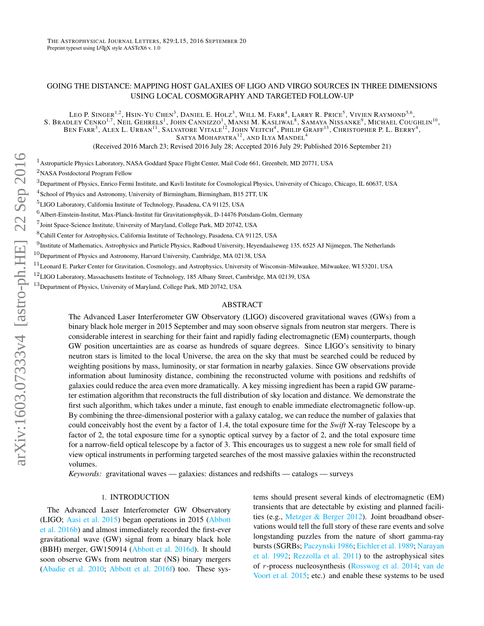# GOING THE DISTANCE: MAPPING HOST GALAXIES OF LIGO AND VIRGO SOURCES IN THREE DIMENSIONS USING LOCAL COSMOGRAPHY AND TARGETED FOLLOW-UP

LEO P. SINGER<sup>1,2</sup>, Hsin-Yu Chen<sup>3</sup>, Daniel E. Holz<sup>3</sup>, Will M. Farr<sup>4</sup>, Larry R. Price<sup>5</sup>, Vivien Raymond<sup>5,6</sup>, S. BRADLEY CENKO<sup>1,7</sup>, NEIL GEHRELS<sup>1</sup>, JOHN CANNIZZO<sup>1</sup>, MANSI M. KASLIWAL<sup>8</sup>, SAMAYA NISSANKE<sup>9</sup>, MICHAEL COUGHLIN<sup>10</sup>, BEN FARR<sup>3</sup>, ALEX L. URBAN<sup>11</sup>, SALVATORE VITALE<sup>12</sup>, JOHN VEITCH<sup>4</sup>, PHILIP GRAFF<sup>13</sup>, CHRISTOPHER P. L. BERRY<sup>4</sup>, SATYA MOHAPATRA $^{12}$ , and Ilya Mandel<sup>4</sup>

(Received 2016 March 23; Revised 2016 July 28; Accepted 2016 July 29; Published 2016 September 21)

 $1$ Astroparticle Physics Laboratory, NASA Goddard Space Flight Center, Mail Code 661, Greenbelt, MD 20771, USA

<sup>2</sup>NASA Postdoctoral Program Fellow

 ${}^{3}$ Department of Physics, Enrico Fermi Institute, and Kavli Institute for Cosmological Physics, University of Chicago, Chicago, IL 60637, USA

4 School of Physics and Astronomy, University of Birmingham, Birmingham, B15 2TT, UK

<sup>5</sup>LIGO Laboratory, California Institute of Technology, Pasadena, CA 91125, USA

 $^6$ Albert-Einstein-Institut, Max-Planck-Institut für Gravitationsphysik, D-14476 Potsdam-Golm, Germany

7 Joint Space-Science Institute, University of Maryland, College Park, MD 20742, USA

<sup>8</sup>Cahill Center for Astrophysics, California Institute of Technology, Pasadena, CA 91125, USA

 $^{9}$ Institute of Mathematics, Astrophysics and Particle Physics, Radboud University, Heyendaalseweg 135, 6525 AJ Nijmegen, The Netherlands

 $^{10}$ Department of Physics and Astronomy, Harvard University, Cambridge, MA 02138, USA

 $^{11}$ Leonard E. Parker Center for Gravitation, Cosmology, and Astrophysics, University of Wisconsin–Milwaukee, Milwaukee, WI 53201, USA

 $12$ LIGO Laboratory, Massachusetts Institute of Technology, 185 Albany Street, Cambridge, MA 02139, USA

<sup>3</sup>Department of Physics, University of Maryland, College Park, MD 20742, USA

## ABSTRACT

The Advanced Laser Interferometer GW Observatory (LIGO) discovered gravitational waves (GWs) from a binary black hole merger in 2015 September and may soon observe signals from neutron star mergers. There is considerable interest in searching for their faint and rapidly fading electromagnetic (EM) counterparts, though GW position uncertainties are as coarse as hundreds of square degrees. Since LIGO's sensitivity to binary neutron stars is limited to the local Universe, the area on the sky that must be searched could be reduced by weighting positions by mass, luminosity, or star formation in nearby galaxies. Since GW observations provide information about luminosity distance, combining the reconstructed volume with positions and redshifts of galaxies could reduce the area even more dramatically. A key missing ingredient has been a rapid GW parameter estimation algorithm that reconstructs the full distribution of sky location and distance. We demonstrate the first such algorithm, which takes under a minute, fast enough to enable immediate electromagnetic follow-up. By combining the three-dimensional posterior with a galaxy catalog, we can reduce the number of galaxies that could conceivably host the event by a factor of 1.4, the total exposure time for the *Swift* X-ray Telescope by a factor of 2, the total exposure time for a synoptic optical survey by a factor of 2, and the total exposure time for a narrow-field optical telescope by a factor of 3. This encourages us to suggest a new role for small field of view optical instruments in performing targeted searches of the most massive galaxies within the reconstructed volumes.

*Keywords:* gravitational waves — galaxies: distances and redshifts — catalogs — surveys

#### 1. INTRODUCTION

The Advanced Laser Interferometer GW Observatory (LIGO; [Aasi et al.](#page-6-0) [2015\)](#page-6-0) began operations in 2015 [\(Abbott](#page-6-1) [et al.](#page-6-1) [2016b\)](#page-6-1) and almost immediately recorded the first-ever gravitational wave (GW) signal from a binary black hole (BBH) merger, GW150914 [\(Abbott et al.](#page-6-2) [2016d\)](#page-6-2). It should soon observe GWs from neutron star (NS) binary mergers [\(Abadie et al.](#page-6-3) [2010;](#page-6-3) [Abbott et al.](#page-6-4) [2016f\)](#page-6-4) too. These systems should present several kinds of electromagnetic (EM) transients that are detectable by existing and planned facilities (e.g., [Metzger & Berger](#page-6-5) [2012\)](#page-6-5). Joint broadband observations would tell the full story of these rare events and solve longstanding puzzles from the nature of short gamma-ray bursts (SGRBs; [Paczynski](#page-6-6) [1986;](#page-6-6) [Eichler et al.](#page-6-7) [1989;](#page-6-7) [Narayan](#page-6-8) [et al.](#page-6-8) [1992;](#page-6-8) [Rezzolla et al.](#page-6-9) [2011\)](#page-6-9) to the astrophysical sites of r-process nucleosynthesis [\(Rosswog et al.](#page-6-10) [2014;](#page-6-10) [van de](#page-6-11) [Voort et al.](#page-6-11) [2015;](#page-6-11) etc.) and enable these systems to be used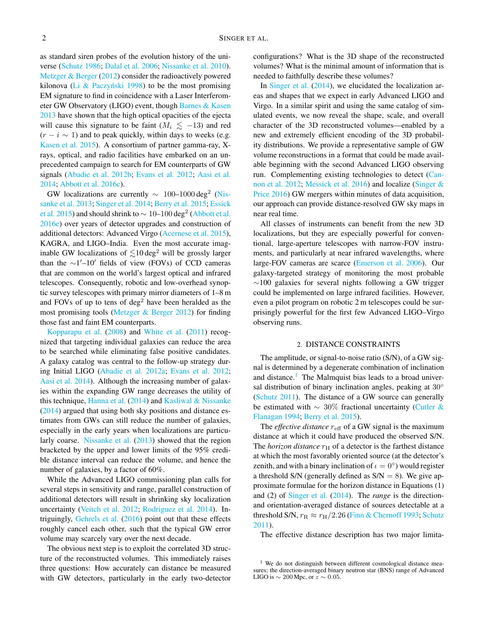as standard siren probes of the evolution history of the universe [\(Schutz](#page-6-12) [1986;](#page-6-12) [Dalal et al.](#page-6-13) [2006;](#page-6-13) [Nissanke et al.](#page-6-14) [2010\)](#page-6-14). [Metzger & Berger](#page-6-5) [\(2012\)](#page-6-5) consider the radioactively powered kilonova (Li  $\&$  Paczyński [1998\)](#page-6-15) to be the most promising EM signature to find in coincidence with a Laser Interferometer GW Observatory (LIGO) event, though [Barnes & Kasen](#page-6-16) [2013](#page-6-16) have shown that the high optical opacities of the ejecta will cause this signature to be faint ( $M_i \lesssim -13$ ) and red  $(r - i \sim 1)$  and to peak quickly, within days to weeks (e.g. [Kasen et al.](#page-6-17) [2015\)](#page-6-17). A consortium of partner gamma-ray, Xrays, optical, and radio facilities have embarked on an unprecedented campaign to search for EM counterparts of GW signals [\(Abadie et al.](#page-6-18) [2012b;](#page-6-18) [Evans et al.](#page-6-19) [2012;](#page-6-19) [Aasi et al.](#page-6-20) [2014;](#page-6-20) [Abbott et al.](#page-6-21) [2016c\)](#page-6-21).

GW localizations are currently  $\sim 100-1000 \text{ deg}^2$  [\(Nis](#page-6-22)[sanke et al.](#page-6-22) [2013;](#page-6-22) [Singer et al.](#page-6-23) [2014;](#page-6-23) [Berry et al.](#page-6-24) [2015;](#page-6-24) [Essick](#page-6-25) [et al.](#page-6-25) [2015\)](#page-6-25) and should shrink to  $\sim 10$ –100 deg<sup>2</sup> [\(Abbott et al.](#page-6-26) [2016e\)](#page-6-26) over years of detector upgrades and construction of additional detectors: Advanced Virgo [\(Acernese et al.](#page-6-27) [2015\)](#page-6-27), KAGRA, and LIGO–India. Even the most accurate imaginable GW localizations of  $\leq 10 \text{ deg}^2$  will be grossly larger than the  $\sim$ 1'–10' fields of view (FOVs) of CCD cameras that are common on the world's largest optical and infrared telescopes. Consequently, robotic and low-overhead synoptic survey telescopes with primary mirror diameters of 1–8 m and FOVs of up to tens of  $\text{deg}^2$  have been heralded as the most promising tools [\(Metzger & Berger](#page-6-5) [2012\)](#page-6-5) for finding those fast and faint EM counterparts.

[Kopparapu et al.](#page-6-28) [\(2008\)](#page-6-28) and [White et al.](#page-6-29) [\(2011\)](#page-6-29) recognized that targeting individual galaxies can reduce the area to be searched while eliminating false positive candidates. A galaxy catalog was central to the follow-up strategy during Initial LIGO [\(Abadie et al.](#page-6-30) [2012a;](#page-6-30) [Evans et al.](#page-6-19) [2012;](#page-6-19) [Aasi et al.](#page-6-20) [2014\)](#page-6-20). Although the increasing number of galaxies within the expanding GW range decreases the utility of this technique, [Hanna et al.](#page-6-31) [\(2014\)](#page-6-31) and [Kasliwal & Nissanke](#page-6-32) [\(2014\)](#page-6-32) argued that using both sky positions and distance estimates from GWs can still reduce the number of galaxies, especially in the early years when localizations are particularly coarse. [Nissanke et al.](#page-6-22) [\(2013\)](#page-6-22) showed that the region bracketed by the upper and lower limits of the 95% credible distance interval can reduce the volume, and hence the number of galaxies, by a factor of 60%.

While the Advanced LIGO commissioning plan calls for several steps in sensitivity and range, parallel construction of additional detectors will result in shrinking sky localization uncertainty [\(Veitch et al.](#page-6-33) [2012;](#page-6-33) [Rodriguez et al.](#page-6-34) [2014\)](#page-6-34). Intriguingly, [Gehrels et al.](#page-6-35) [\(2016\)](#page-6-35) point out that these effects roughly cancel each other, such that the typical GW error volume may scarcely vary over the next decade.

The obvious next step is to exploit the correlated 3D structure of the reconstructed volumes. This immediately raises three questions: How accurately can distance be measured with GW detectors, particularly in the early two-detector

configurations? What is the 3D shape of the reconstructed volumes? What is the minimal amount of information that is needed to faithfully describe these volumes?

In [Singer et al.](#page-6-23) [\(2014\)](#page-6-23), we elucidated the localization areas and shapes that we expect in early Advanced LIGO and Virgo. In a similar spirit and using the same catalog of simulated events, we now reveal the shape, scale, and overall character of the 3D reconstructed volumes—enabled by a new and extremely efficient encoding of the 3D probability distributions. We provide a representative sample of GW volume reconstructions in a format that could be made available beginning with the second Advanced LIGO observing run. Complementing existing technologies to detect [\(Can](#page-6-36)[non et al.](#page-6-36) [2012;](#page-6-36) [Messick et al.](#page-6-37) [2016\)](#page-6-37) and localize [\(Singer &](#page-6-38) [Price](#page-6-38) [2016\)](#page-6-38) GW mergers within minutes of data acquisition, our approach can provide distance-resolved GW sky maps in near real time.

All classes of instruments can benefit from the new 3D localizations, but they are especially powerful for conventional, large-aperture telescopes with narrow-FOV instruments, and particularly at near infrared wavelengths, where large-FOV cameras are scarce [\(Emerson et al.](#page-6-39) [2006\)](#page-6-39). Our galaxy-targeted strategy of monitoring the most probable ∼100 galaxies for several nights following a GW trigger could be implemented on large infrared facilities. However, even a pilot program on robotic 2 m telescopes could be surprisingly powerful for the first few Advanced LIGO–Virgo observing runs.

#### 2. DISTANCE CONSTRAINTS

The amplitude, or signal-to-noise ratio (S/N), of a GW signal is determined by a degenerate combination of inclination and distance.<sup>[1](#page-1-0)</sup> The Malmquist bias leads to a broad universal distribution of binary inclination angles, peaking at 30<sup>°</sup> [\(Schutz](#page-6-40) [2011\)](#page-6-40). The distance of a GW source can generally be estimated with ∼ 30% fractional uncertainty [\(Cutler &](#page-6-41) [Flanagan](#page-6-41) [1994;](#page-6-41) [Berry et al.](#page-6-24) [2015\)](#page-6-24).

The *effective distance*  $r_{\text{eff}}$  of a GW signal is the maximum distance at which it could have produced the observed S/N. The *horizon distance*  $r<sub>H</sub>$  of a detector is the farthest distance at which the most favorably oriented source (at the detector's zenith, and with a binary inclination of  $\iota = 0^{\circ}$ ) would register a threshold S/N (generally defined as  $S/N = 8$ ). We give approximate formulae for the horizon distance in Equations (1) and (2) of [Singer et al.](#page-6-23) [\(2014\)](#page-6-23). The *range* is the directionand orientation-averaged distance of sources detectable at a threshold S/N,  $r_R \approx r_H/2.26$  [\(Finn & Chernoff](#page-6-42) [1993;](#page-6-42) [Schutz](#page-6-40) [2011\)](#page-6-40).

The effective distance description has two major limita-

<span id="page-1-0"></span> $1$  We do not distinguish between different cosmological distance measures; the direction-averaged binary neutron star (BNS) range of Advanced LIGO is  $\sim 200$  Mpc, or  $z \sim 0.05$ .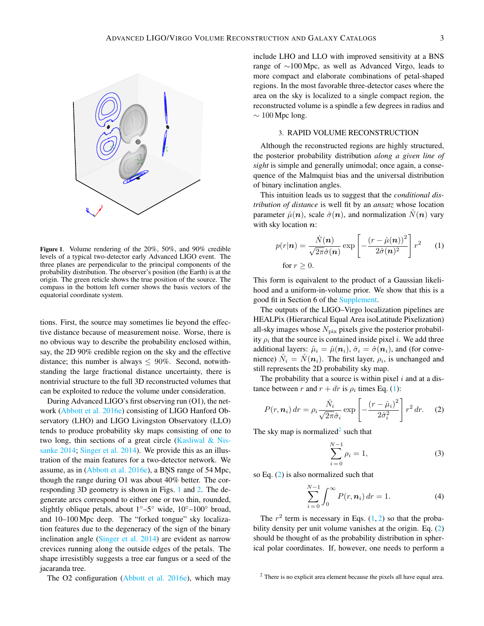

<span id="page-2-0"></span>Figure 1. Volume rendering of the 20%, 50%, and 90% credible levels of a typical two-detector early Advanced LIGO event. The three planes are perpendicular to the principal components of the probability distribution. The observer's position (the Earth) is at the origin. The green reticle shows the true position of the source. The compass in the bottom left corner shows the basis vectors of the equatorial coordinate system.

tions. First, the source may sometimes lie beyond the effective distance because of measurement noise. Worse, there is no obvious way to describe the probability enclosed within, say, the 2D 90% credible region on the sky and the effective distance; this number is always  $\leq 90\%$ . Second, notwithstanding the large fractional distance uncertainty, there is nontrivial structure to the full 3D reconstructed volumes that can be exploited to reduce the volume under consideration.

During Advanced LIGO's first observing run (O1), the net-work [\(Abbott et al.](#page-6-26) [2016e\)](#page-6-26) consisting of LIGO Hanford Observatory (LHO) and LIGO Livingston Observatory (LLO) tends to produce probability sky maps consisting of one to two long, thin sections of a great circle [\(Kasliwal & Nis](#page-6-32)[sanke](#page-6-32) [2014;](#page-6-32) [Singer et al.](#page-6-23) [2014\)](#page-6-23). We provide this as an illustration of the main features for a two-detector network. We assume, as in [\(Abbott et al.](#page-6-26) [2016e\)](#page-6-26), a BNS range of 54 Mpc, though the range during O1 was about 40% better. The corresponding 3D geometry is shown in Figs. [1](#page-2-0) and [2.](#page-3-0) The degenerate arcs correspond to either one or two thin, rounded, slightly oblique petals, about 1◦–5◦ wide, 10◦–100◦ broad, and 10–100 Mpc deep. The "forked tongue" sky localization features due to the degeneracy of the sign of the binary inclination angle [\(Singer et al.](#page-6-23) [2014\)](#page-6-23) are evident as narrow crevices running along the outside edges of the petals. The shape irresistibly suggests a tree ear fungus or a seed of the jacaranda tree.

The O2 configuration [\(Abbott et al.](#page-6-26) [2016e\)](#page-6-26), which may

include LHO and LLO with improved sensitivity at a BNS range of ∼100 Mpc, as well as Advanced Virgo, leads to more compact and elaborate combinations of petal-shaped regions. In the most favorable three-detector cases where the area on the sky is localized to a single compact region, the reconstructed volume is a spindle a few degrees in radius and  $\sim 100$  Mpc long.

# 3. RAPID VOLUME RECONSTRUCTION

Although the reconstructed regions are highly structured, the posterior probability distribution *along a given line of sight* is simple and generally unimodal; once again, a consequence of the Malmquist bias and the universal distribution of binary inclination angles.

This intuition leads us to suggest that the *conditional distribution of distance* is well fit by an *ansatz* whose location parameter  $\hat{\mu}(\mathbf{n})$ , scale  $\hat{\sigma}(\mathbf{n})$ , and normalization  $N(\mathbf{n})$  vary with sky location  $n$ :

<span id="page-2-1"></span>
$$
p(r|\mathbf{n}) = \frac{\hat{N}(\mathbf{n})}{\sqrt{2\pi}\hat{\sigma}(\mathbf{n})} \exp\left[-\frac{(r-\hat{\mu}(\mathbf{n}))^2}{2\hat{\sigma}(\mathbf{n})^2}\right] r^2 \quad (1)
$$
  
for  $r \ge 0$ .

This form is equivalent to the product of a Gaussian likelihood and a uniform-in-volume prior. We show that this is a good fit in Section 6 of the [Supplement.](#page-6-43)

The outputs of the LIGO–Virgo localization pipelines are HEALPix (Hierarchical Equal Area isoLatitude Pixelization) all-sky images whose  $N_{\text{pix}}$  pixels give the posterior probability  $\rho_i$  that the source is contained inside pixel *i*. We add three additional layers:  $\hat{\mu}_i = \hat{\mu}(\mathbf{n}_i)$ ,  $\hat{\sigma}_i = \hat{\sigma}(\mathbf{n}_i)$ , and (for convenience)  $\hat{N}_i = \hat{N}(n_i)$ . The first layer,  $\rho_i$ , is unchanged and still represents the 2D probability sky map.

The probability that a source is within pixel  $i$  and at a distance between r and  $r + dr$  is  $\rho_i$  times Eq. [\(1\)](#page-2-1):

$$
P(r, n_i) dr = \rho_i \frac{\hat{N}_i}{\sqrt{2\pi} \hat{\sigma}_i} \exp\left[-\frac{(r - \hat{\mu}_i)^2}{2\hat{\sigma}_i^2}\right] r^2 dr. \quad (2)
$$

The sky map is normalized<sup>[2](#page-2-2)</sup> such that

<span id="page-2-3"></span>
$$
\sum_{i=0}^{N-1} \rho_i = 1,
$$
\n(3)

so Eq. [\(2\)](#page-2-3) is also normalized such that

$$
\sum_{i=0}^{N-1} \int_0^\infty P(r, n_i) \, dr = 1. \tag{4}
$$

The  $r^2$  term is necessary in Eqs. [\(1,](#page-2-1) [2\)](#page-2-3) so that the proba-bility density per unit volume vanishes at the origin. Eq. [\(2\)](#page-2-3) should be thought of as the probability distribution in spherical polar coordinates. If, however, one needs to perform a

<span id="page-2-2"></span><sup>2</sup> There is no explicit area element because the pixels all have equal area.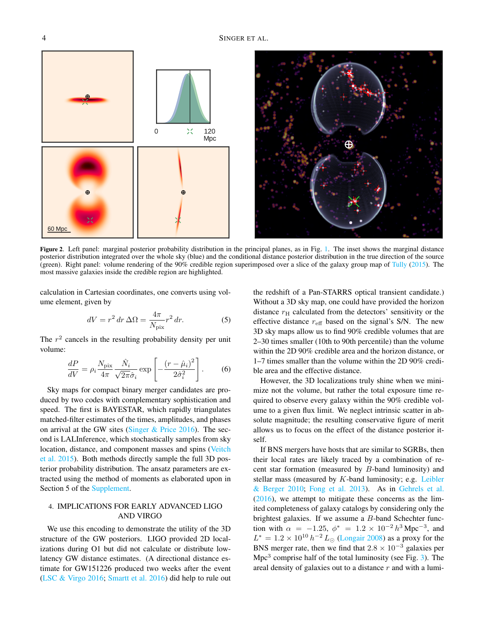



Figure 2. Left panel: marginal posterior probability distribution in the principal planes, as in Fig. [1.](#page-2-0) The inset shows the marginal distance posterior distribution integrated over the whole sky (blue) and the conditional distance posterior distribution in the true direction of the source (green). Right panel: volume rendering of the 90% credible region superimposed over a slice of the galaxy group map of [Tully](#page-6-44) [\(2015\)](#page-6-44). The most massive galaxies inside the credible region are highlighted.

<span id="page-3-0"></span>calculation in Cartesian coordinates, one converts using volume element, given by

$$
dV = r^2 dr \,\Delta\Omega = \frac{4\pi}{N_{\text{pix}}} r^2 dr. \tag{5}
$$

The  $r<sup>2</sup>$  cancels in the resulting probability density per unit volume:

$$
\frac{dP}{dV} = \rho_i \frac{N_{\text{pix}}}{4\pi} \frac{\hat{N}_i}{\sqrt{2\pi}\hat{\sigma}_i} \exp\left[-\frac{(r-\hat{\mu}_i)^2}{2\hat{\sigma}_i^2}\right].
$$
 (6)

Sky maps for compact binary merger candidates are produced by two codes with complementary sophistication and speed. The first is BAYESTAR, which rapidly triangulates matched-filter estimates of the times, amplitudes, and phases on arrival at the GW sites (Singer  $&$  Price [2016\)](#page-6-38). The second is LALInference, which stochastically samples from sky location, distance, and component masses and spins [\(Veitch](#page-6-45) [et al.](#page-6-45) [2015\)](#page-6-45). Both methods directly sample the full 3D posterior probability distribution. The ansatz parameters are extracted using the method of moments as elaborated upon in Section 5 of the [Supplement.](#page-6-43)

# 4. IMPLICATIONS FOR EARLY ADVANCED LIGO AND VIRGO

We use this encoding to demonstrate the utility of the 3D structure of the GW posteriors. LIGO provided 2D localizations during O1 but did not calculate or distribute lowlatency GW distance estimates. (A directional distance estimate for GW151226 produced two weeks after the event [\(LSC & Virgo 2016;](#page-6-46) [Smartt et al.](#page-6-47) [2016\)](#page-6-47) did help to rule out

the redshift of a Pan-STARRS optical transient candidate.) Without a 3D sky map, one could have provided the horizon distance  $r<sub>H</sub>$  calculated from the detectors' sensitivity or the effective distance  $r_{\text{eff}}$  based on the signal's S/N. The new 3D sky maps allow us to find 90% credible volumes that are 2–30 times smaller (10th to 90th percentile) than the volume within the 2D 90% credible area and the horizon distance, or 1–7 times smaller than the volume within the 2D 90% credible area and the effective distance.

However, the 3D localizations truly shine when we minimize not the volume, but rather the total exposure time required to observe every galaxy within the 90% credible volume to a given flux limit. We neglect intrinsic scatter in absolute magnitude; the resulting conservative figure of merit allows us to focus on the effect of the distance posterior itself.

If BNS mergers have hosts that are similar to SGRBs, then their local rates are likely traced by a combination of recent star formation (measured by  $B$ -band luminosity) and stellar mass (measured by  $K$ -band luminosity; e.g. [Leibler](#page-6-48) [& Berger](#page-6-48) [2010;](#page-6-48) [Fong et al.](#page-6-49) [2013\)](#page-6-49). As in [Gehrels et al.](#page-6-35)  $(2016)$ , we attempt to mitigate these concerns as the limited completeness of galaxy catalogs by considering only the brightest galaxies. If we assume a B-band Schechter function with  $\alpha = -1.25$ ,  $\phi^* = 1.2 \times 10^{-2} h^3$  Mpc<sup>-3</sup>, and  $L^* = 1.2 \times 10^{10} h^{-2} L_{\odot}$  [\(Longair](#page-6-50) [2008\)](#page-6-50) as a proxy for the BNS merger rate, then we find that  $2.8 \times 10^{-3}$  galaxies per  $Mpc<sup>3</sup>$  comprise half of the total luminosity (see Fig. [3\)](#page-4-0). The areal density of galaxies out to a distance  $r$  and with a lumi-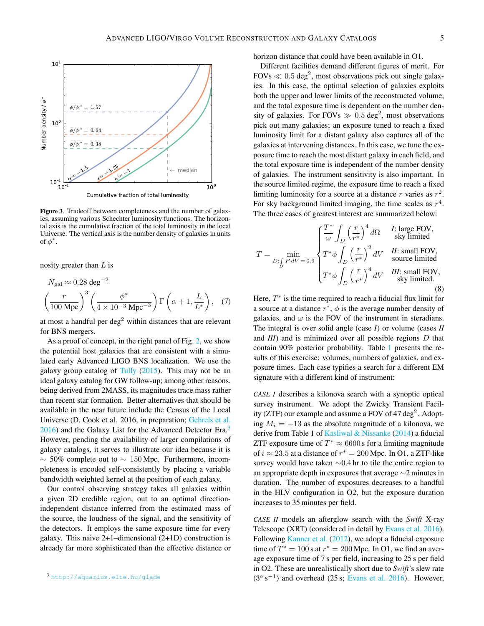

<span id="page-4-0"></span>Figure 3. Tradeoff between completeness and the number of galaxies, assuming various Schechter luminosity functions. The horizontal axis is the cumulative fraction of the total luminosity in the local Universe. The vertical axis is the number density of galaxies in units of  $\phi^*$ .

nosity greater than  $L$  is

$$
N_{\rm gal} \approx 0.28 \text{ deg}^{-2}
$$

$$
\left(\frac{r}{100 \text{ Mpc}}\right)^3 \left(\frac{\phi^*}{4 \times 10^{-3} \text{ Mpc}^{-3}}\right) \Gamma\left(\alpha + 1, \frac{L}{L^*}\right), \quad (7)
$$

at most a handful per  $\deg^2$  within distances that are relevant for BNS mergers.

As a proof of concept, in the right panel of Fig. [2,](#page-3-0) we show the potential host galaxies that are consistent with a simulated early Advanced LIGO BNS localization. We use the galaxy group catalog of [Tully](#page-6-44)  $(2015)$ . This may not be an ideal galaxy catalog for GW follow-up; among other reasons, being derived from 2MASS, its magnitudes trace mass rather than recent star formation. Better alternatives that should be available in the near future include the Census of the Local Universe (D. Cook et al. 2016, in preparation; [Gehrels et al.](#page-6-35)  $2016$ ) and the Galaxy List for the Advanced Detector Era.<sup>[3](#page-4-1)</sup> However, pending the availability of larger compilations of galaxy catalogs, it serves to illustrate our idea because it is  $\sim$  50% complete out to  $\sim$  150 Mpc. Furthermore, incompleteness is encoded self-consistently by placing a variable bandwidth weighted kernel at the position of each galaxy.

Our control observing strategy takes all galaxies within a given 2D credible region, out to an optimal directionindependent distance inferred from the estimated mass of the source, the loudness of the signal, and the sensitivity of the detectors. It employs the same exposure time for every galaxy. This naive 2+1–dimensional (2+1D) construction is already far more sophisticated than the effective distance or horizon distance that could have been available in O1.

Different facilities demand different figures of merit. For  $FOVs \ll 0.5 \text{ deg}^2$ , most observations pick out single galaxies. In this case, the optimal selection of galaxies exploits both the upper and lower limits of the reconstructed volume, and the total exposure time is dependent on the number density of galaxies. For FOVs  $\gg 0.5 \text{ deg}^2$ , most observations pick out many galaxies; an exposure tuned to reach a fixed luminosity limit for a distant galaxy also captures all of the galaxies at intervening distances. In this case, we tune the exposure time to reach the most distant galaxy in each field, and the total exposure time is independent of the number density of galaxies. The instrument sensitivity is also important. In the source limited regime, the exposure time to reach a fixed limiting luminosity for a source at a distance  $r$  varies as  $r^2$ . For sky background limited imaging, the time scales as  $r<sup>4</sup>$ . The three cases of greatest interest are summarized below:

$$
T = \min_{D:\int_{D} P dV = 0.9} \begin{cases} \frac{T^*}{\omega} \int_{D} \left(\frac{r}{r^*}\right)^4 d\Omega & \text{1: large FOV,} \\ T^* \phi \int_{D} \left(\frac{r}{r^*}\right)^2 dV & \text{1: small FOV,} \\ T^* \phi \int_{D} \left(\frac{r}{r^*}\right)^4 dV & \text{1: small FOV,} \\ T^* \phi \int_{D} \left(\frac{r}{r^*}\right)^4 dV & \text{1: small FOV,} \\ \end{cases}
$$
(8)

Here,  $T^*$  is the time required to reach a fiducial flux limit for a source at a distance  $r^*$ ,  $\phi$  is the average number density of galaxies, and  $\omega$  is the FOV of the instrument in steradians. The integral is over solid angle (case *I*) or volume (cases *II* and *III*) and is minimized over all possible regions D that contain 90% posterior probability. Table [1](#page-5-0) presents the results of this exercise: volumes, numbers of galaxies, and exposure times. Each case typifies a search for a different EM signature with a different kind of instrument:

*CASE I* describes a kilonova search with a synoptic optical survey instrument. We adopt the Zwicky Transient Facility (ZTF) our example and assume a FOV of 47 deg<sup>2</sup>. Adopting  $M_i = -13$  as the absolute magnitude of a kilonova, we derive from Table 1 of [Kasliwal & Nissanke](#page-6-32) [\(2014\)](#page-6-32) a fiducial ZTF exposure time of  $T^* \approx 6600$  s for a limiting magnitude of  $i \approx 23.5$  at a distance of  $r^* = 200$  Mpc. In O1, a ZTF-like survey would have taken ∼0.4 hr to tile the entire region to an appropriate depth in exposures that average ∼2 minutes in duration. The number of exposures decreases to a handful in the HLV configuration in O2, but the exposure duration increases to 35 minutes per field.

*CASE II* models an afterglow search with the *Swift* X-ray Telescope (XRT) (considered in detail by [Evans et al.](#page-6-51) [2016\)](#page-6-51). Following [Kanner et al.](#page-6-52) [\(2012\)](#page-6-52), we adopt a fiducial exposure time of  $T^* = 100$  s at  $r^* = 200$  Mpc. In O1, we find an average exposure time of 7 s per field, increasing to 25 s per field in O2. These are unrealistically short due to *Swift*'s slew rate  $(3^{\circ} s^{-1})$  and overhead (25 s; [Evans et al.](#page-6-51) [2016\)](#page-6-51). However,

<span id="page-4-1"></span><sup>3</sup> <http://aquarius.elte.hu/glade>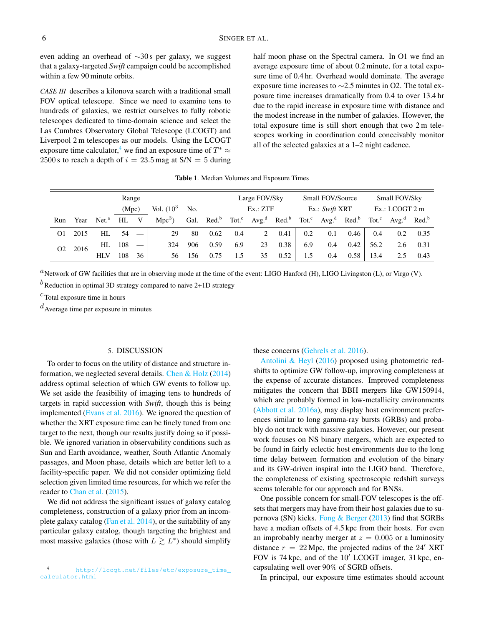even adding an overhead of ∼30 s per galaxy, we suggest that a galaxy-targeted *Swift* campaign could be accomplished within a few 90 minute orbits.

*CASE III* describes a kilonova search with a traditional small FOV optical telescope. Since we need to examine tens to hundreds of galaxies, we restrict ourselves to fully robotic telescopes dedicated to time-domain science and select the Las Cumbres Observatory Global Telescope (LCOGT) and Liverpool 2 m telescopes as our models. Using the LCOGT exposure time calculator,<sup>[4](#page-5-1)</sup> we find an exposure time of  $T^* \approx$ 2500 s to reach a depth of  $i = 23.5$  mag at  $S/N = 5$  during half moon phase on the Spectral camera. In O1 we find an average exposure time of about 0.2 minute, for a total exposure time of 0.4 hr. Overhead would dominate. The average exposure time increases to ∼2.5 minutes in O2. The total exposure time increases dramatically from 0.4 to over 13.4 hr due to the rapid increase in exposure time with distance and the modest increase in the number of galaxies. However, the total exposure time is still short enough that two 2 m telescopes working in coordination could conceivably monitor all of the selected galaxies at a 1–2 night cadence.

| Table 1. Median Volumes and Exposure Times |  |
|--------------------------------------------|--|
|--------------------------------------------|--|

<span id="page-5-0"></span>

| Range          |      |                   |       |                          |               | Large FOV/Sky |                   |          | <b>Small FOV/Source</b> |                                     |                | Small FOV/Sky                                |      |                  |                                                       |      |
|----------------|------|-------------------|-------|--------------------------|---------------|---------------|-------------------|----------|-------------------------|-------------------------------------|----------------|----------------------------------------------|------|------------------|-------------------------------------------------------|------|
|                |      |                   | (Mpc) |                          | Vol. $(10^3)$ | No.           |                   | Ex.: ZTF |                         |                                     | Ex.: Swift XRT |                                              |      | $Ex.:$ LCOGT 2 m |                                                       |      |
| Run            | Year | Net. <sup>a</sup> | HL    | V                        | $Mpc3$ )      | Gal.          | Red. <sup>b</sup> | $Tot.^c$ |                         | Avg. <sup>d</sup> Red. <sup>b</sup> |                | Tot. <sup>c</sup> $Avg.^d$ Red. <sup>b</sup> |      |                  | Tot. <sup>c</sup> Avg. <sup>d</sup> Red. <sup>b</sup> |      |
| O1             | 2015 | HL                | 54    |                          | 29            | 80            | 0.62              | 0.4      | 2                       | 0.41                                | 0.2            | 0.1                                          | 0.46 | 0.4              | 0.2                                                   | 0.35 |
| O <sub>2</sub> | 2016 | HL.               | 108   | $\overline{\phantom{m}}$ | 324           | 906           | 0.59              | 6.9      | 23                      | 0.38                                | 6.9            | 0.4                                          | 0.42 | 56.2             | 2.6                                                   | 0.31 |
|                |      | <b>HLV</b>        | 108   | 36                       | 56            | 156           | 0.75              | 1.5      | 35                      | 0.52                                | 1.5            | 0.4                                          | 0.58 | 13.4             |                                                       | 0.43 |

 ${}^{a}$ Network of GW facilities that are in observing mode at the time of the event: LIGO Hanford (H), LIGO Livingston (L), or Virgo (V).

 $b$  Reduction in optimal 3D strategy compared to naive 2+1D strategy

 $c$  Total exposure time in hours

 $d$ Average time per exposure in minutes

### 5. DISCUSSION

To order to focus on the utility of distance and structure information, we neglected several details. [Chen & Holz](#page-6-53) [\(2014\)](#page-6-53) address optimal selection of which GW events to follow up. We set aside the feasibility of imaging tens to hundreds of targets in rapid succession with *Swift*, though this is being implemented [\(Evans et al.](#page-6-51) [2016\)](#page-6-51). We ignored the question of whether the XRT exposure time can be finely tuned from one target to the next, though our results justify doing so if possible. We ignored variation in observability conditions such as Sun and Earth avoidance, weather, South Atlantic Anomaly passages, and Moon phase, details which are better left to a facility-specific paper. We did not consider optimizing field selection given limited time resources, for which we refer the reader to [Chan et al.](#page-6-54) [\(2015\)](#page-6-54).

We did not address the significant issues of galaxy catalog completeness, construction of a galaxy prior from an incomplete galaxy catalog [\(Fan et al.](#page-6-55) [2014\)](#page-6-55), or the suitability of any particular galaxy catalog, though targeting the brightest and most massive galaxies (those with  $L \gtrsim L^*$ ) should simplify

<span id="page-5-1"></span><sup>4</sup> [http://lcogt.net/files/etc/exposure\\_time\\_](http://lcogt.net/files/etc/exposure_time_calculator.html) [calculator.html](http://lcogt.net/files/etc/exposure_time_calculator.html)

### these concerns [\(Gehrels et al.](#page-6-35) [2016\)](#page-6-35).

[Antolini & Heyl](#page-6-56) [\(2016\)](#page-6-56) proposed using photometric redshifts to optimize GW follow-up, improving completeness at the expense of accurate distances. Improved completeness mitigates the concern that BBH mergers like GW150914, which are probably formed in low-metallicity environments [\(Abbott et al.](#page-6-57) [2016a\)](#page-6-57), may display host environment preferences similar to long gamma-ray bursts (GRBs) and probably do not track with massive galaxies. However, our present work focuses on NS binary mergers, which are expected to be found in fairly eclectic host environments due to the long time delay between formation and evolution of the binary and its GW-driven inspiral into the LIGO band. Therefore, the completeness of existing spectroscopic redshift surveys seems tolerable for our approach and for BNSs.

One possible concern for small-FOV telescopes is the offsets that mergers may have from their host galaxies due to supernova (SN) kicks. Fong  $\&$  Berger [\(2013\)](#page-6-58) find that SGRBs have a median offsets of 4.5 kpc from their hosts. For even an improbably nearby merger at  $z = 0.005$  or a luminosity distance  $r = 22$  Mpc, the projected radius of the  $24'$  XRT FOV is 74 kpc, and of the  $10'$  LCOGT imager, 31 kpc, encapsulating well over 90% of SGRB offsets.

In principal, our exposure time estimates should account